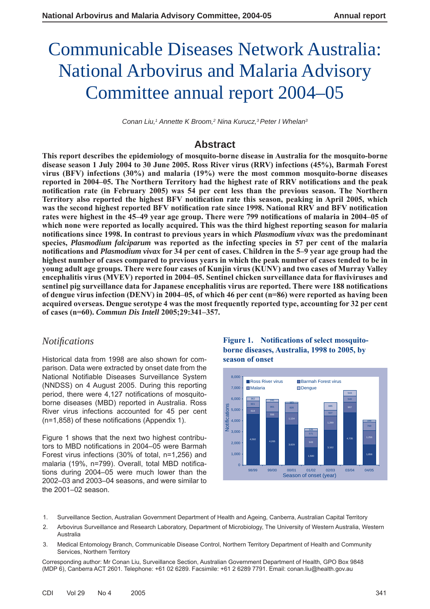# Communicable Diseases Network Australia: National Arbovirus and Malaria Advisory Committee annual report 2004–05

Conan Liu,<sup>1</sup> Annette K Broom,<sup>2</sup> Nina Kurucz,<sup>3</sup> Peter I Whelan<sup>3</sup>

# **Abstract**

**This report describes the epidemiology of mosquito-borne disease in Australia for the mosquito-borne disease season 1 July 2004 to 30 June 2005. Ross River virus (RRV) infections (45%), Barmah Forest virus (BFV) infections (30%) and malaria (19%) were the most common mosquito-borne diseases**  reported in 2004–05. The Northern Territory had the highest rate of RRV notifications and the peak **notifi cation rate (in February 2005) was 54 per cent less than the previous season. The Northern**  Territory also reported the highest BFV notification rate this season, peaking in April 2005, which was the second highest reported BFV notification rate since 1998. National RRV and BFV notification rates were highest in the 45–49 year age group. There were 799 notifications of malaria in 2004–05 of **which none were reported as locally acquired. This was the third highest reporting season for malaria notifi cations since 1998. In contrast to previous years in which** *Plasmodium vivax* **was the predominant species,** *Plasmodium falciparum* **was reported as the infecting species in 57 per cent of the malaria notifi cations and** *Plasmodium vivax* **for 34 per cent of cases. Children in the 5–9 year age group had the highest number of cases compared to previous years in which the peak number of cases tended to be in young adult age groups. There were four cases of Kunjin virus (KUNV) and two cases of Murray Valley**  encephalitis virus (MVEV) reported in 2004–05. Sentinel chicken surveillance data for flaviviruses and sentinel pig surveillance data for Japanese encephalitis virus are reported. There were 188 notifications **of dengue virus infection (DENV) in 2004–05, of which 46 per cent (n=86) were reported as having been acquired overseas. Dengue serotype 4 was the most frequently reported type, accounting for 32 per cent of cases (n=60).** *Commun Dis Intell* **2005;29:341–357.**

# *Notifi cations*

Historical data from 1998 are also shown for comparison. Data were extracted by onset date from the National Notifiable Diseases Surveillance System (NNDSS) on 4 August 2005. During this reporting period, there were 4,127 notifications of mosquitoborne diseases (MBD) reported in Australia. Ross River virus infections accounted for 45 per cent  $(n=1,858)$  of these notifications (Appendix 1).

Figure 1 shows that the next two highest contributors to MBD notifications in 2004-05 were Barmah Forest virus infections (30% of total, n=1,256) and malaria (19%, n=799). Overall, total MBD notifications during 2004–05 were much lower than the 2002–03 and 2003–04 seasons, and were similar to the 2001–02 season.

**Figure 1. Notifications of select mosquitoborne diseases, Australia, 1998 to 2005, by season of onset**



- 1. Surveillance Section, Australian Government Department of Health and Ageing, Canberra, Australian Capital Territory
- 2. Arbovirus Surveillance and Research Laboratory, Department of Microbiology, The University of Western Australia, Western Australia
- 3. Medical Entomology Branch, Communicable Disease Control, Northern Territory Department of Health and Community Services, Northern Territory

Corresponding author: Mr Conan Liu, Surveillance Section, Australian Government Department of Health, GPO Box 9848 (MDP 6), Canberra ACT 2601. Telephone: +61 02 6289. Facsimile: +61 2 6289 7791. Email: conan.liu@health.gov.au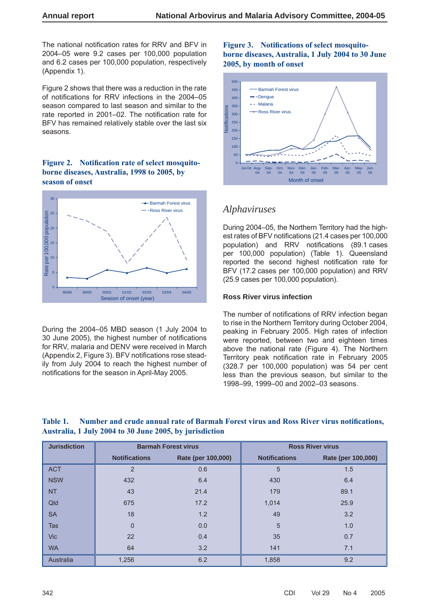The national notification rates for RRV and BFV in 2004–05 were 9.2 cases per 100,000 population and 6.2 cases per 100,000 population, respectively (Appendix 1).

Figure 2 shows that there was a reduction in the rate of notifications for RRV infections in the 2004–05 season compared to last season and similar to the rate reported in 2001-02. The notification rate for BFV has remained relatively stable over the last six seasons.

#### Figure 2. Notification rate of select mosquito**borne diseases, Australia, 1998 to 2005, by season of onset**



During the 2004–05 MBD season (1 July 2004 to 30 June 2005), the highest number of notifications for RRV, malaria and DENV were received in March (Appendix 2, Figure 3). BFV notifications rose steadily from July 2004 to reach the highest number of notifications for the season in April-May 2005.

#### Figure 3. Notifications of select mosquito**borne diseases, Australia, 1 July 2004 to 30 June 2005, by month of onset**



# *Alphaviruses*

During 2004–05, the Northern Territory had the highest rates of BFV notifications (21.4 cases per 100,000 population) and RRV notifications (89.1 cases per 100,000 population) (Table 1). Queensland reported the second highest notification rate for BFV (17.2 cases per 100,000 population) and RRV (25.9 cases per 100,000 population).

#### **Ross River virus infection**

The number of notifications of RRV infection began to rise in the Northern Territory during October 2004, peaking in February 2005. High rates of infection were reported, between two and eighteen times above the national rate (Figure 4). The Northern Territory peak notification rate in February 2005 (328.7 per 100,000 population) was 54 per cent less than the previous season, but similar to the 1998–99, 1999–00 and 2002–03 seasons.

| <b>Jurisdiction</b> |                      | <b>Barmah Forest virus</b> |                      | <b>Ross River virus</b> |
|---------------------|----------------------|----------------------------|----------------------|-------------------------|
|                     | <b>Notifications</b> | Rate (per 100,000)         | <b>Notifications</b> | Rate (per 100,000)      |
| <b>ACT</b>          | $\overline{2}$       | 0.6                        | 5                    | 1.5                     |
| <b>NSW</b>          | 432                  | 6.4                        | 430                  | 6.4                     |
| <b>NT</b>           | 43                   | 21.4                       | 179                  | 89.1                    |
| Qld                 | 675                  | 17.2                       | 1,014                | 25.9                    |
| <b>SA</b>           | 18                   | 1.2                        | 49                   | 3.2                     |
| Tas                 | $\Omega$             | 0.0                        | 5                    | 1.0                     |
| <b>Vic</b>          | 22                   | 0.4                        | 35                   | 0.7                     |
| <b>WA</b>           | 64                   | 3.2                        | 141                  | 7.1                     |
| Australia           | 1,256                | 6.2                        | 1,858                | 9.2                     |

#### Table 1. Number and crude annual rate of Barmah Forest virus and Ross River virus notifications, **Australia, 1 July 2004 to 30 June 2005, by jurisdiction**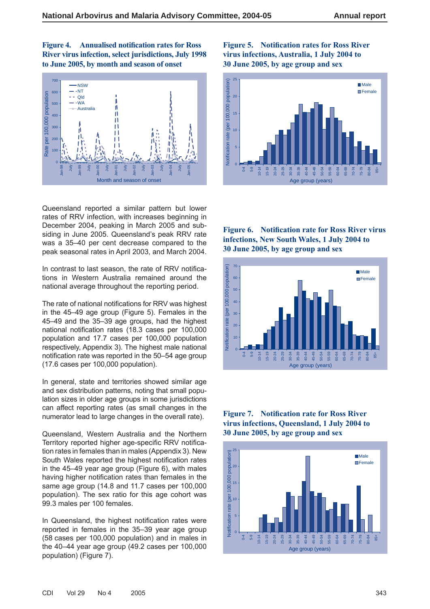**Figure 4.** Annualised notification rates for Ross **River virus infection, select jurisdictions, July 1998 to June 2005, by month and season of onset**



Queensland reported a similar pattern but lower rates of RRV infection, with increases beginning in December 2004, peaking in March 2005 and subsiding in June 2005. Queensland's peak RRV rate was a 35–40 per cent decrease compared to the peak seasonal rates in April 2003, and March 2004.

In contrast to last season, the rate of RRV notifications in Western Australia remained around the national average throughout the reporting period.

The rate of national notifications for RRV was highest in the 45–49 age group (Figure 5). Females in the 45–49 and the 35–39 age groups, had the highest national notification rates (18.3 cases per 100,000 population and 17.7 cases per 100,000 population respectively, Appendix 3). The highest male national notification rate was reported in the 50–54 age group (17.6 cases per 100,000 population).

In general, state and territories showed similar age and sex distribution patterns, noting that small population sizes in older age groups in some jurisdictions can affect reporting rates (as small changes in the numerator lead to large changes in the overall rate).

Queensland, Western Australia and the Northern Territory reported higher age-specific RRV notification rates in females than in males (Appendix 3). New South Wales reported the highest notification rates in the 45–49 year age group (Figure 6), with males having higher notification rates than females in the same age group (14.8 and 11.7 cases per 100,000 population). The sex ratio for this age cohort was 99.3 males per 100 females.

In Queensland, the highest notification rates were reported in females in the 35–39 year age group (58 cases per 100,000 population) and in males in the 40–44 year age group (49.2 cases per 100,000 population) (Figure 7).

#### **Figure 5. Notification rates for Ross River virus infections, Australia, 1 July 2004 to 30 June 2005, by age group and sex**



**Figure 6. Notification rate for Ross River virus infections, New South Wales, 1 July 2004 to 30 June 2005, by age group and sex**





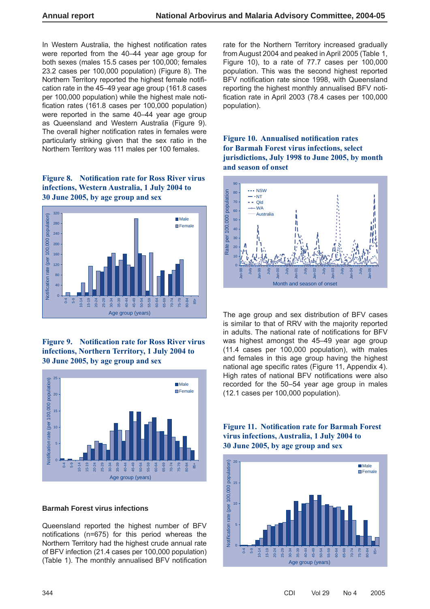In Western Australia, the highest notification rates were reported from the 40–44 year age group for both sexes (males 15.5 cases per 100,000; females 23.2 cases per 100,000 population) (Figure 8). The Northern Territory reported the highest female notification rate in the 45–49 year age group (161.8 cases per 100,000 population) while the highest male notification rates (161.8 cases per 100,000 population) were reported in the same 40–44 year age group as Queensland and Western Australia (Figure 9). The overall higher notification rates in females were particularly striking given that the sex ratio in the Northern Territory was 111 males per 100 females.

#### **Figure 8.** Notification rate for Ross River virus **infections, Western Australia, 1 July 2004 to 30 June 2005, by age group and sex**



#### **Figure 9.** Notification rate for Ross River virus **infections, Northern Territory, 1 July 2004 to 30 June 2005, by age group and sex**



#### **Barmah Forest virus infections**

Queensland reported the highest number of BFV notifications (n=675) for this period whereas the Northern Territory had the highest crude annual rate of BFV infection (21.4 cases per 100,000 population) (Table 1). The monthly annualised BFV notification rate for the Northern Territory increased gradually from August 2004 and peaked in April 2005 (Table 1, Figure 10), to a rate of 77.7 cases per 100,000 population. This was the second highest reported BFV notification rate since 1998, with Queensland reporting the highest monthly annualised BFV notification rate in April 2003  $(78.4 \text{ cases per } 100,000$ population).

**Figure 10. Annualised notification rates for Barmah Forest virus infections, select jurisdictions, July 1998 to June 2005, by month and season of onset**



The age group and sex distribution of BFV cases is similar to that of RRV with the majority reported in adults. The national rate of notifications for BFV was highest amongst the 45–49 year age group (11.4 cases per 100,000 population), with males and females in this age group having the highest national age specific rates (Figure 11, Appendix 4). High rates of national BFV notifications were also recorded for the 50–54 year age group in males (12.1 cases per 100,000 population).



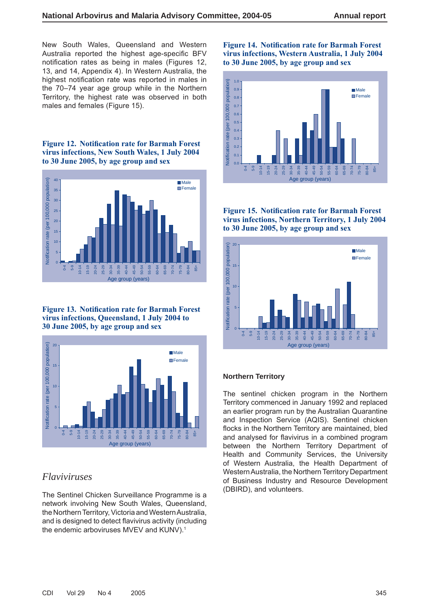New South Wales, Queensland and Western Australia reported the highest age-specific BFV notification rates as being in males (Figures 12, 13, and 14, Appendix 4). In Western Australia, the highest notification rate was reported in males in the 70–74 year age group while in the Northern Territory, the highest rate was observed in both males and females (Figure 15).

**Figure 12. Notification rate for Barmah Forest virus infections, New South Wales, 1 July 2004 to 30 June 2005, by age group and sex**



**Figure 13. Notification rate for Barmah Forest virus infections, Queensland, 1 July 2004 to 30 June 2005, by age group and sex**



## *Flaviviruses*

The Sentinel Chicken Surveillance Programme is a network involving New South Wales, Queensland, the Northern Territory, Victoria and Western Australia, and is designed to detect flavivirus activity (including the endemic arboviruses MVEV and KUNV).<sup>1</sup>

#### **Figure 14. Notification rate for Barmah Forest virus infections, Western Australia, 1 July 2004 to 30 June 2005, by age group and sex**



**Figure 15. Notification rate for Barmah Forest virus infections, Northern Territory, 1 July 2004 to 30 June 2005, by age group and sex**



#### **Northern Territory**

The sentinel chicken program in the Northern Territory commenced in January 1992 and replaced an earlier program run by the Australian Quarantine and Inspection Service (AQIS). Sentinel chicken flocks in the Northern Territory are maintained, bled and analysed for flavivirus in a combined program between the Northern Territory Department of Health and Community Services, the University of Western Australia, the Health Department of Western Australia, the Northern Territory Department of Business Industry and Resource Development (DBIRD), and volunteers.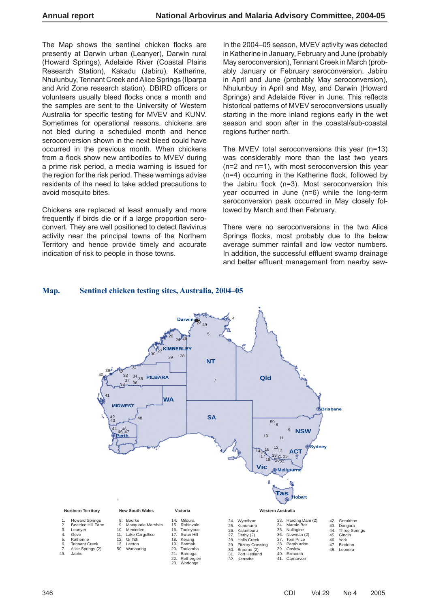The Map shows the sentinel chicken flocks are presently at Darwin urban (Leanyer), Darwin rural (Howard Springs), Adelaide River (Coastal Plains Research Station), Kakadu (Jabiru), Katherine, Nhulunbuy, Tennant Creek and Alice Springs (Ilparpa and Arid Zone research station). DBIRD officers or volunteers usually bleed flocks once a month and the samples are sent to the University of Western Australia for specific testing for MVEV and KUNV. Sometimes for operational reasons, chickens are not bled during a scheduled month and hence seroconversion shown in the next bleed could have occurred in the previous month. When chickens from a flock show new antibodies to MVEV during a prime risk period, a media warning is issued for the region for the risk period. These warnings advise residents of the need to take added precautions to avoid mosquito bites.

Chickens are replaced at least annually and more frequently if birds die or if a large proportion seroconvert. They are well positioned to detect flavivirus activity near the principal towns of the Northern Territory and hence provide timely and accurate indication of risk to people in those towns.

In the 2004–05 season, MVEV activity was detected in Katherine in January, February and June (probably May seroconversion), Tennant Creek in March (probably January or February seroconversion, Jabiru in April and June (probably May seroconversion), Nhulunbuy in April and May, and Darwin (Howard Springs) and Adelaide River in June. This reflects historical patterns of MVEV seroconversions usually starting in the more inland regions early in the wet season and soon after in the coastal/sub-coastal regions further north.

The MVEV total seroconversions this year (n=13) was considerably more than the last two years (n=2 and n=1), with most seroconversion this year  $(n=4)$  occurring in the Katherine flock, followed by the Jabiru flock  $(n=3)$ . Most seroconversion this year occurred in June (n=6) while the long-term seroconversion peak occurred in May closely followed by March and then February.

There were no seroconversions in the two Alice Springs flocks, most probably due to the below average summer rainfall and low vector numbers. In addition, the successful effluent swamp drainage and better effluent management from nearby sew-

#### **Map. Sentinel chicken testing sites, Australia, 2004–05**

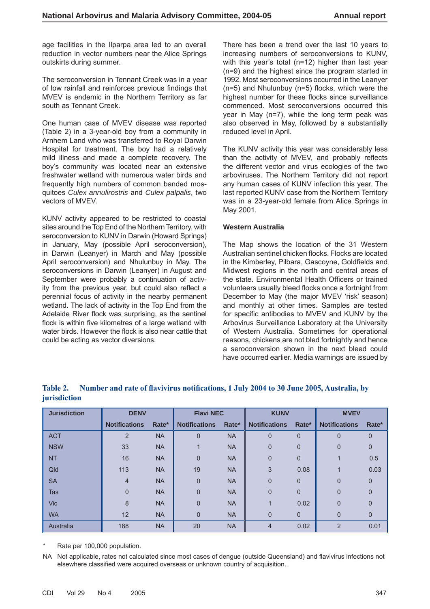age facilities in the Ilparpa area led to an overall reduction in vector numbers near the Alice Springs outskirts during summer.

The seroconversion in Tennant Creek was in a year of low rainfall and reinforces previous findings that MVEV is endemic in the Northern Territory as far south as Tennant Creek.

One human case of MVEV disease was reported (Table 2) in a 3-year-old boy from a community in Arnhem Land who was transferred to Royal Darwin Hospital for treatment. The boy had a relatively mild illness and made a complete recovery. The boy's community was located near an extensive freshwater wetland with numerous water birds and frequently high numbers of common banded mosquitoes *Culex annulirostris* and *Culex palpalis*, two vectors of MVEV.

KUNV activity appeared to be restricted to coastal sites around the Top End of the Northern Territory, with seroconversion to KUNV in Darwin (Howard Springs) in January, May (possible April seroconversion), in Darwin (Leanyer) in March and May (possible April seroconversion) and Nhulunbuy in May. The seroconversions in Darwin (Leanyer) in August and September were probably a continuation of activity from the previous year, but could also reflect a perennial focus of activity in the nearby permanent wetland. The lack of activity in the Top End from the Adelaide River flock was surprising, as the sentinel flock is within five kilometres of a large wetland with water birds. However the flock is also near cattle that could be acting as vector diversions.

There has been a trend over the last 10 years to increasing numbers of seroconversions to KUNV, with this year's total (n=12) higher than last year (n=9) and the highest since the program started in 1992. Most seroconversions occurred in the Leanyer  $(n=5)$  and Nhulunbuy  $(n=5)$  flocks, which were the highest number for these flocks since surveillance commenced. Most seroconversions occurred this year in May (n=7), while the long term peak was also observed in May, followed by a substantially reduced level in April.

The KUNV activity this year was considerably less than the activity of MVEV, and probably reflects the different vector and virus ecologies of the two arboviruses. The Northern Territory did not report any human cases of KUNV infection this year. The last reported KUNV case from the Northern Territory was in a 23-year-old female from Alice Springs in May 2001.

#### **Western Australia**

The Map shows the location of the 31 Western Australian sentinel chicken flocks. Flocks are located in the Kimberley, Pilbara, Gascoyne, Goldfields and Midwest regions in the north and central areas of the state. Environmental Health Officers or trained volunteers usually bleed flocks once a fortnight from December to May (the major MVEV 'risk' season) and monthly at other times. Samples are tested for specific antibodies to MVEV and KUNV by the Arbovirus Surveillance Laboratory at the University of Western Australia. Sometimes for operational reasons, chickens are not bled fortnightly and hence a seroconversion shown in the next bleed could have occurred earlier. Media warnings are issued by

| <b>Jurisdiction</b> | <b>DENV</b>          |           | <b>Flavi NEC</b>     |           | <b>KUNV</b>          |                | <b>MVEV</b>          |              |
|---------------------|----------------------|-----------|----------------------|-----------|----------------------|----------------|----------------------|--------------|
|                     | <b>Notifications</b> | Rate*     | <b>Notifications</b> | Rate*     | <b>Notifications</b> | Rate*          | <b>Notifications</b> | Rate*        |
| <b>ACT</b>          | $\overline{2}$       | <b>NA</b> | $\overline{0}$       | <b>NA</b> | $\Omega$             | $\overline{0}$ | $\overline{0}$       | 0            |
| <b>NSW</b>          | 33                   | <b>NA</b> |                      | <b>NA</b> | $\Omega$             | $\mathbf 0$    | 0                    | 0            |
| <b>NT</b>           | 16                   | <b>NA</b> | $\overline{0}$       | <b>NA</b> | $\overline{0}$       | $\overline{0}$ |                      | 0.5          |
| Qld                 | 113                  | <b>NA</b> | 19                   | <b>NA</b> | 3                    | 0.08           |                      | 0.03         |
| <b>SA</b>           | $\overline{4}$       | <b>NA</b> | $\overline{0}$       | <b>NA</b> | $\Omega$             | $\overline{0}$ | 0                    | $\Omega$     |
| <b>Tas</b>          | $\mathbf 0$          | <b>NA</b> | $\mathbf{0}$         | <b>NA</b> | $\overline{0}$       | $\mathbf 0$    | 0                    | $\mathbf{0}$ |
| <b>Vic</b>          | 8                    | <b>NA</b> | $\mathbf{0}$         | <b>NA</b> |                      | 0.02           | 0                    | $\Omega$     |
| <b>WA</b>           | 12                   | <b>NA</b> | $\Omega$             | <b>NA</b> | $\Omega$             | $\overline{0}$ | 0                    | $\Omega$     |
| Australia           | 188                  | <b>NA</b> | 20                   | <b>NA</b> | $\overline{4}$       | 0.02           | $\overline{2}$       | 0.01         |

#### Table 2. Number and rate of flavivirus notifications, 1 July 2004 to 30 June 2005, Australia, by **jurisdiction**

Rate per 100,000 population.

NA Not applicable, rates not calculated since most cases of dengue (outside Queensland) and flavivirus infections not elsewhere classified were acquired overseas or unknown country of acquisition.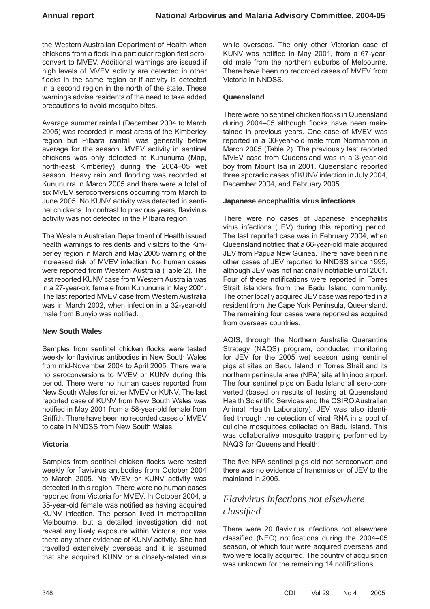the Western Australian Department of Health when chickens from a flock in a particular region first seroconvert to MVEV. Additional warnings are issued if high levels of MVEV activity are detected in other flocks in the same region or if activity is detected in a second region in the north of the state. These warnings advise residents of the need to take added precautions to avoid mosquito bites.

Average summer rainfall (December 2004 to March 2005) was recorded in most areas of the Kimberley region but Pilbara rainfall was generally below average for the season. MVEV activity in sentinel chickens was only detected at Kununurra (Map, north-east Kimberley) during the 2004–05 wet season. Heavy rain and flooding was recorded at Kununurra in March 2005 and there were a total of six MVEV seroconversions occurring from March to June 2005. No KUNV activity was detected in sentinel chickens. In contrast to previous years, flavivirus activity was not detected in the Pilbara region.

The Western Australian Department of Health issued health warnings to residents and visitors to the Kimberley region in March and May 2005 warning of the increased risk of MVEV infection. No human cases were reported from Western Australia (Table 2). The last reported KUNV case from Western Australia was in a 27-year-old female from Kununurra in May 2001. The last reported MVEV case from Western Australia was in March 2002, when infection in a 32-year-old male from Bunyip was notified.

#### **New South Wales**

Samples from sentinel chicken flocks were tested weekly for flavivirus antibodies in New South Wales from mid-November 2004 to April 2005. There were no seroconversions to MVEV or KUNV during this period. There were no human cases reported from New South Wales for either MVEV or KUNV. The last reported case of KUNV from New South Wales was notified in May 2001 from a 58-year-old female from Griffith. There have been no recorded cases of MVEV to date in NNDSS from New South Wales.

#### **Victoria**

Samples from sentinel chicken flocks were tested weekly for flavivirus antibodies from October 2004 to March 2005. No MVEV or KUNV activity was detected in this region. There were no human cases reported from Victoria for MVEV. In October 2004, a 35-year-old female was notified as having acquired KUNV infection. The person lived in metropolitan Melbourne, but a detailed investigation did not reveal any likely exposure within Victoria, nor was there any other evidence of KUNV activity. She had travelled extensively overseas and it is assumed that she acquired KUNV or a closely-related virus

while overseas. The only other Victorian case of KUNV was notified in May 2001, from a 67-yearold male from the northern suburbs of Melbourne. There have been no recorded cases of MVEV from Victoria in NNDSS.

#### **Queensland**

There were no sentinel chicken flocks in Queensland during 2004-05 although flocks have been maintained in previous years. One case of MVEV was reported in a 30-year-old male from Normanton in March 2005 (Table 2). The previously last reported MVEV case from Queensland was in a 3-year-old boy from Mount Isa in 2001. Queensland reported three sporadic cases of KUNV infection in July 2004, December 2004, and February 2005.

#### **Japanese encephalitis virus infections**

There were no cases of Japanese encephalitis virus infections (JEV) during this reporting period. The last reported case was in February 2004, when Queensland notified that a 66-year-old male acquired JEV from Papua New Guinea. There have been nine other cases of JEV reported to NNDSS since 1995, although JEV was not nationally notifiable until 2001. Four of these notifications were reported in Torres Strait islanders from the Badu Island community. The other locally acquired JEV case was reported in a resident from the Cape York Peninsula, Queensland. The remaining four cases were reported as acquired from overseas countries.

AQIS, through the Northern Australia Quarantine Strategy (NAQS) program, conducted monitoring for JEV for the 2005 wet season using sentinel pigs at sites on Badu Island in Torres Strait and its northern peninsula area (NPA) site at Injinoo airport. The four sentinel pigs on Badu Island all sero-converted (based on results of testing at Queensland Health Scientific Services and the CSIRO Australian Animal Health Laboratory). JEV was also identified through the detection of viral RNA in a pool of culicine mosquitoes collected on Badu Island. This was collaborative mosquito trapping performed by NAQS for Queensland Health.

The five NPA sentinel pigs did not seroconvert and there was no evidence of transmission of JEV to the mainland in 2005.

# *Flavivirus infections not elsewhere classifi ed*

There were 20 flavivirus infections not elsewhere classified (NEC) notifications during the 2004–05 season, of which four were acquired overseas and two were locally acquired. The country of acquisition was unknown for the remaining 14 notifications.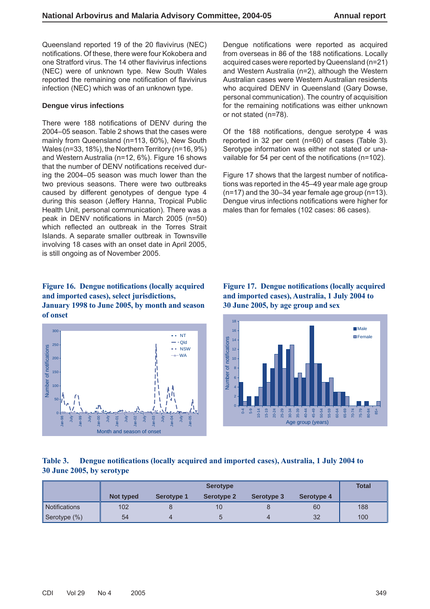Queensland reported 19 of the 20 flavivirus (NEC) notifications. Of these, there were four Kokobera and one Stratford virus. The 14 other flavivirus infections (NEC) were of unknown type. New South Wales reported the remaining one notification of flavivirus infection (NEC) which was of an unknown type.

#### **Dengue virus infections**

There were 188 notifications of DENV during the 2004–05 season. Table 2 shows that the cases were mainly from Queensland (n=113, 60%), New South Wales (n=33, 18%), the Northern Territory (n=16, 9%) and Western Australia (n=12, 6%). Figure 16 shows that the number of DENV notifications received during the 2004–05 season was much lower than the two previous seasons. There were two outbreaks caused by different genotypes of dengue type 4 during this season (Jeffery Hanna, Tropical Public Health Unit, personal communication). There was a peak in DENV notifications in March 2005  $(n=50)$ which reflected an outbreak in the Torres Strait Islands. A separate smaller outbreak in Townsville involving 18 cases with an onset date in April 2005, is still ongoing as of November 2005.

#### Figure 16. Dengue notifications (locally acquired **and imported cases), select jurisdictions, January 1998 to June 2005, by month and season of onset**



Dengue notifications were reported as acquired from overseas in 86 of the 188 notifications. Locally acquired cases were reported by Queensland (n=21) and Western Australia (n=2), although the Western Australian cases were Western Australian residents who acquired DENV in Queensland (Gary Dowse, personal communication). The country of acquisition for the remaining notifications was either unknown or not stated (n=78).

Of the 188 notifications, dengue serotype 4 was reported in 32 per cent (n=60) of cases (Table 3). Serotype information was either not stated or unavailable for 54 per cent of the notifications ( $n=102$ ).

Figure 17 shows that the largest number of notifications was reported in the 45–49 year male age group (n=17) and the 30–34 year female age group (n=13). Dengue virus infections notifications were higher for males than for females (102 cases: 86 cases).

#### **Figure 17. Dengue notifications (locally acquired and imported cases), Australia, 1 July 2004 to 30 June 2005, by age group and sex**



## Table 3. Dengue notifications (locally acquired and imported cases), Australia, 1 July 2004 to **30 June 2005, by serotype**

|                      |           |                   | <b>Serotype</b>   |            |                   | <b>Total</b> |
|----------------------|-----------|-------------------|-------------------|------------|-------------------|--------------|
|                      | Not typed | <b>Serotype 1</b> | <b>Serotype 2</b> | Serotype 3 | <b>Serotype 4</b> |              |
| <b>Notifications</b> | 102       |                   | 10                |            | 60                | 188          |
| Serotype (%)         | 54        |                   | b                 |            | 32                | 100          |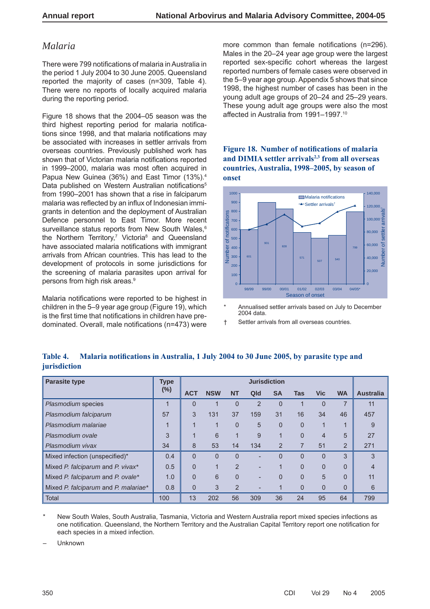# *Malaria*

There were 799 notifications of malaria in Australia in the period 1 July 2004 to 30 June 2005. Queensland reported the majority of cases (n=309, Table 4). There were no reports of locally acquired malaria during the reporting period.

Figure 18 shows that the 2004–05 season was the third highest reporting period for malaria notifications since 1998, and that malaria notifications may be associated with increases in settler arrivals from overseas countries. Previously published work has shown that of Victorian malaria notifications reported in 1999–2000, malaria was most often acquired in Papua New Guinea (36%) and East Timor (13%).4 Data published on Western Australian notifications<sup>5</sup> from 1990–2001 has shown that a rise in falciparum malaria was reflected by an influx of Indonesian immigrants in detention and the deployment of Australian Defence personnel to East Timor. More recent surveillance status reports from New South Wales,<sup>6</sup> the Northern Territory,<sup>7</sup> Victoria<sup>8</sup> and Queensland have associated malaria notifications with immigrant arrivals from African countries. This has lead to the development of protocols in some jurisdictions for the screening of malaria parasites upon arrival for persons from high risk areas.<sup>9</sup>

Malaria notifications were reported to be highest in children in the 5–9 year age group (Figure 19), which is the first time that notifications in children have predominated. Overall, male notifications (n=473) were more common than female notifications (n=296). Males in the 20–24 year age group were the largest reported sex-specific cohort whereas the largest reported numbers of female cases were observed in the 5–9 year age group. Appendix 5 shows that since 1998, the highest number of cases has been in the young adult age groups of 20–24 and 25–29 years. These young adult age groups were also the most affected in Australia from 1991–1997.10

**Figure 18. Number of notifications of malaria** and DIMIA settler arrivals<sup>2,3</sup> from all overseas **countries, Australia, 1998–2005, by season of onset**



- \* Annualised settler arrivals based on July to December 2004 data.
- † Settler arrivals from all overseas countries.

| <b>Parasite type</b>                 | <b>Type</b> |                |            |                | <b>Jurisdiction</b> |                |              |              |           |                  |
|--------------------------------------|-------------|----------------|------------|----------------|---------------------|----------------|--------------|--------------|-----------|------------------|
|                                      | $(\%)$      | <b>ACT</b>     | <b>NSW</b> | <b>NT</b>      | Qld                 | <b>SA</b>      | <b>Tas</b>   | <b>Vic</b>   | <b>WA</b> | <b>Australia</b> |
| Plasmodium species                   | и           | $\Omega$       |            | $\Omega$       | $\overline{2}$      | $\Omega$       | ◢            | $\Omega$     |           | 11               |
| Plasmodium falciparum                | 57          | 3              | 131        | 37             | 159                 | 31             | 16           | 34           | 46        | 457              |
| Plasmodium malariae                  | 1           | 1              |            | $\Omega$       | 5                   | $\Omega$       | $\Omega$     |              |           | 9                |
| Plasmodium ovale                     | 3           | и              | 6          |                | 9                   |                | $\Omega$     | 4            | 5         | 27               |
| Plasmodium vivax                     | 34          | 8              | 53         | 14             | 134                 | $\overline{2}$ | 7            | 51           | 2         | 271              |
| Mixed infection (unspecified)*       | 0.4         | $\Omega$       | $\Omega$   | $\overline{0}$ |                     | 0              | $\mathbf{0}$ | $\mathbf{0}$ | 3         | 3                |
| Mixed P. falciparum and P. vivax*    | 0.5         | $\Omega$       |            | $\overline{2}$ |                     |                | $\mathbf{0}$ | $\Omega$     | $\Omega$  |                  |
| Mixed P. falciparum and P. ovale*    | 1.0         | $\overline{0}$ | 6          | $\mathbf{0}$   |                     | 0              | $\mathbf{0}$ | 5            | $\Omega$  | 11               |
| Mixed P. falciparum and P. malariae* | 0.8         | $\overline{0}$ | 3          | $\overline{2}$ |                     |                | $\mathbf{0}$ | $\Omega$     | $\Omega$  | 6                |
| <b>Total</b>                         | 100         | 13             | 202        | 56             | 309                 | 36             | 24           | 95           | 64        | 799              |

#### Table 4. Malaria notifications in Australia, 1 July 2004 to 30 June 2005, by parasite type and **jurisdiction**

New South Wales, South Australia, Tasmania, Victoria and Western Australia report mixed species infections as one notification. Queensland, the Northern Territory and the Australian Capital Territory report one notification for each species in a mixed infection.

– Unknown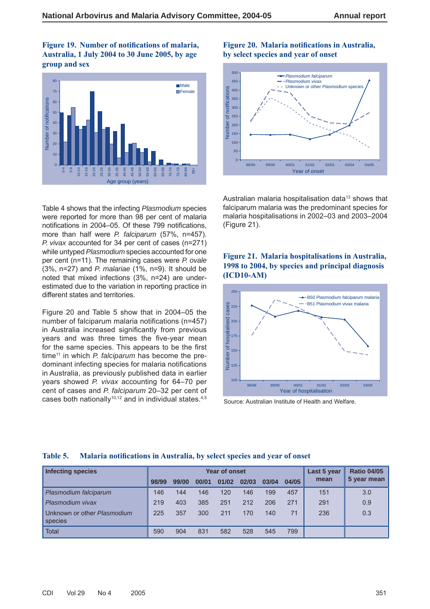Figure 19. Number of notifications of malaria, **Australia, 1 July 2004 to 30 June 2005, by age group and sex**



Table 4 shows that the infecting *Plasmodium* species were reported for more than 98 per cent of malaria notifications in 2004–05. Of these 799 notifications, more than half were *P. falciparum* (57%, n=457). *P. vivax* accounted for 34 per cent of cases (n=271) while untyped *Plasmodium* species accounted for one per cent (n=11). The remaining cases were *P. ovale* (3%, n=27) and *P. malariae* (1%, n=9). It should be noted that mixed infections (3%, n=24) are underestimated due to the variation in reporting practice in different states and territories.

Figure 20 and Table 5 show that in 2004–05 the number of falciparum malaria notifications ( $n=457$ ) in Australia increased significantly from previous years and was three times the five-year mean for the same species. This appears to be the first time<sup>11</sup> in which *P. falciparum* has become the predominant infecting species for malaria notifications in Australia, as previously published data in earlier years showed *P. vivax* accounting for 64–70 per cent of cases and *P. falciparum* 20–32 per cent of cases both nationally<sup>10,12</sup> and in individual states.<sup>4,5</sup>

#### **Figure 20. Malaria notifications in Australia, by select species and year of onset**



Australian malaria hospitalisation data<sup>13</sup> shows that falciparum malaria was the predominant species for malaria hospitalisations in 2002–03 and 2003–2004 (Figure 21).

#### **Figure 21. Malaria hospitalisations in Australia, 1998 to 2004, by species and principal diagnosis (ICD10-AM)**



Source: Australian Institute of Health and Welfare.

| <b>Infecting species</b>               |       |       |       | <b>Year of onset</b> |       |       |       | Last 5 year | <b>Ratio 04/05</b> |
|----------------------------------------|-------|-------|-------|----------------------|-------|-------|-------|-------------|--------------------|
|                                        | 98/99 | 99/00 | 00/01 | 01/02                | 02/03 | 03/04 | 04/05 | mean        | 5 year mean        |
| Plasmodium falciparum                  | 146   | 144   | 146   | 120                  | 146   | 199   | 457   | 151         | 3.0                |
| Plasmodium vivax                       | 219   | 403   | 385   | 251                  | 212   | 206   | 271   | 291         | 0.9                |
| Unknown or other Plasmodium<br>species | 225   | 357   | 300   | 211                  | 170   | 140   | 71    | 236         | 0.3                |
| <b>Total</b>                           | 590   | 904   | 831   | 582                  | 528   | 545   | 799   |             |                    |

#### Table 5. Malaria notifications in Australia, by select species and year of onset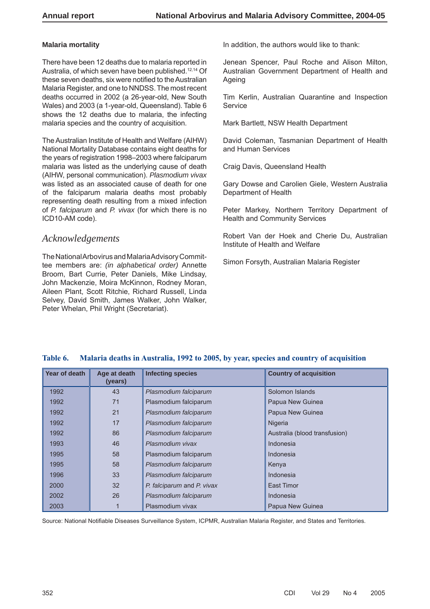#### **Malaria mortality**

There have been 12 deaths due to malaria reported in Australia, of which seven have been published.12,14 Of these seven deaths, six were notified to the Australian Malaria Register, and one to NNDSS. The most recent deaths occurred in 2002 (a 26-year-old, New South Wales) and 2003 (a 1-year-old, Queensland). Table 6 shows the 12 deaths due to malaria, the infecting malaria species and the country of acquisition.

The Australian Institute of Health and Welfare (AIHW) National Mortality Database contains eight deaths for the years of registration 1998–2003 where falciparum malaria was listed as the underlying cause of death (AIHW, personal communication). *Plasmodium vivax* was listed as an associated cause of death for one of the falciparum malaria deaths most probably representing death resulting from a mixed infection of *P. falciparum* and *P. vivax* (for which there is no ICD10-AM code).

# *Acknowledgements*

The National Arbovirus and Malaria Advisory Committee members are: *(in alphabetical order)* Annette Broom, Bart Currie, Peter Daniels, Mike Lindsay, John Mackenzie, Moira McKinnon, Rodney Moran, Aileen Plant, Scott Ritchie, Richard Russell, Linda Selvey, David Smith, James Walker, John Walker, Peter Whelan, Phil Wright (Secretariat).

In addition, the authors would like to thank:

Jenean Spencer, Paul Roche and Alison Milton, Australian Government Department of Health and Ageing

Tim Kerlin, Australian Quarantine and Inspection **Service** 

Mark Bartlett, NSW Health Department

David Coleman, Tasmanian Department of Health and Human Services

Craig Davis, Queensland Health

Gary Dowse and Carolien Giele, Western Australia Department of Health

Peter Markey, Northern Territory Department of Health and Community Services

Robert Van der Hoek and Cherie Du, Australian Institute of Health and Welfare

Simon Forsyth, Australian Malaria Register

| Year of death | Age at death<br>(years) | <b>Infecting species</b>   | <b>Country of acquisition</b> |
|---------------|-------------------------|----------------------------|-------------------------------|
| 1992          | 43                      | Plasmodium falciparum      | Solomon Islands               |
| 1992          | 71                      | Plasmodium falciparum      | Papua New Guinea              |
| 1992          | 21                      | Plasmodium falciparum      | Papua New Guinea              |
| 1992          | 17                      | Plasmodium falciparum      | Nigeria                       |
| 1992          | 86                      | Plasmodium falciparum      | Australia (blood transfusion) |
| 1993          | 46                      | Plasmodium vivax           | Indonesia                     |
| 1995          | 58                      | Plasmodium falciparum      | Indonesia                     |
| 1995          | 58                      | Plasmodium falciparum      | Kenya                         |
| 1996          | 33                      | Plasmodium falciparum      | Indonesia                     |
| 2000          | 32                      | P. falciparum and P. vivax | East Timor                    |
| 2002          | 26                      | Plasmodium falciparum      | Indonesia                     |
| 2003          |                         | Plasmodium vivax           | Papua New Guinea              |

#### **Table 6. Malaria deaths in Australia, 1992 to 2005, by year, species and country of acquisition**

Source: National Notifiable Diseases Surveillance System, ICPMR, Australian Malaria Register, and States and Territories.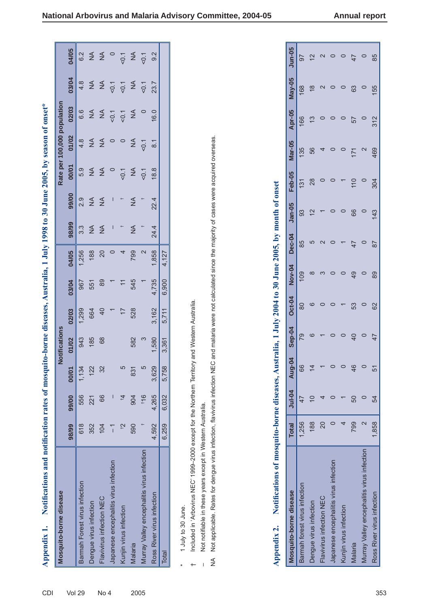| Mosquito-borne disease                     |                |       |                | Notifications |                 |                 |       |                  |               |            |                | Rate per 100,000 population |                  |                    |
|--------------------------------------------|----------------|-------|----------------|---------------|-----------------|-----------------|-------|------------------|---------------|------------|----------------|-----------------------------|------------------|--------------------|
|                                            | 98/99          | 99/00 | 00/01          | 01/02         | 02/03           | 03/04           | 04/05 | 98/99            | 99/00         | 00/01      | 01/02          | 02/03                       | 03/04            | 04/05              |
| Barmah Forest virus infection              | 618            | 556   | 134            | 943           | 1,299           | 967             | 1,256 | $3.\overline{3}$ | 2.9           | 5.9        | 4.8            | 6.6                         | 4.8              | 6.2                |
| Dengue virus infection                     | 352            | 221   | 122            | 185           | 664             | 551             | 188   | $\frac{4}{2}$    | $\frac{4}{2}$ | $\leq$     | $\lessgtr$     | $\frac{1}{2}$               | $\Sigma$         |                    |
| Flavivirus infection NEC                   | 104            | 66    | 32             | 68            | $\overline{4}$  | 89              | 20    | $\frac{4}{2}$    | $\frac{4}{2}$ | $\lessgtr$ | $\lessgtr$     | $\lessgtr$                  |                  | $\Sigma$           |
| Japanese encephalitis virus infection      | $\overline{1}$ |       |                |               |                 |                 |       | I                | I             |            |                | 50.1                        | 5 <sub>0.1</sub> |                    |
| Kunjin virus infection                     | $\tilde{c}_+$  | $t_4$ | $\overline{5}$ |               | $\overline{17}$ | $\overline{11}$ |       |                  |               | 50.1       |                | $\overline{Q}$              | $\overline{Q}$   | $rac{1}{\sqrt{2}}$ |
| Malaria                                    | 590            | 904   | 831            | 582           | 528             | 545             | 799   | ≨                | ≨             | ≨          | ≸              | $\frac{4}{5}$               | $\leq$           |                    |
| Murray Valley encephalitis virus infection |                | 116   | $\overline{5}$ | S             |                 |                 |       |                  |               | 50.1       | 50.1           |                             | 50.1             | 50.1               |
| Ross River virus infection                 | 4,592          | 4,265 | 3,629          | 1,580         | 3,162           | 4,735           | 1,858 | 24.4             | 22.4          | 18.8       | $\overline{8}$ | 16.0                        | 23.7             | 9.2                |
| Total                                      | 6,259          | 6,032 | 758<br>5,7     | 3,361         | 5,711           | 6,900           | 4,127 |                  |               |            |                |                             |                  |                    |
|                                            |                |       |                |               |                 |                 |       |                  |               |            |                |                             |                  |                    |

**The Second** 

1 July to 30 June. \* 1 July to 30 June.  $\ast$ 

 $\leftarrow$ 

Included in 'Arbovirus NEC' 1999-2000 except for the Northern Territory and Western Australia. † Included in 'Arbovirus NEC' 1999–2000 except for the Northern Territory and Western Australia.

Not notifiable in these years except in Western Australia. – Not notifi able in these years except in Western Australia.  $\overline{1}$ 

Not applicable. Rates for dengue virus infection, flavivirus infection NEC and malaria were not calculated since the majority of cases were acquired overseas. NA Not applicable. Rates for dengue virus infection, flavivirus infection NEC and malaria were not calculated since the majority of cases were acquired overseas.  $\sum_{i=1}^{n}$ 

| Mosquito-borne disease                     | <b>Total</b>      | $J$ ul-04 | Aug-04        | <b>Sep-04</b> | <b>Oct-04</b> | <b>Nov-04</b> | <b>Dec-04</b> | $Jan-05$      | Feb-05 | Mar-05 | <b>Apr-05</b> | May-05        | <b>Jun-05</b> |
|--------------------------------------------|-------------------|-----------|---------------|---------------|---------------|---------------|---------------|---------------|--------|--------|---------------|---------------|---------------|
| Barmah forest virus infection              | 1,256             |           | 66            | 79            | 80            | 109           | 85            | 93            | 131    | 135    | 166           | 168           | 97            |
| Dengue virus infection                     | 188               |           | $\frac{4}{4}$ |               | ဖ             | ∞             |               | $\frac{2}{3}$ | 28     | 56     | 13            | $\frac{8}{3}$ | $\frac{2}{3}$ |
| Flavivirus infection NEC                   | 20                |           |               |               |               |               |               |               |        |        |               |               |               |
| Japanese encephalitis virus infection      |                   |           | $\circ$       |               |               |               |               |               |        |        |               |               |               |
| Kunjin virus infection                     |                   |           | $\circ$       |               |               |               |               |               |        |        |               |               |               |
| Malaria                                    | 799               | 50        | 46            | 40            | 53            | 49            |               | 66            | 110    | 171    | 57            | 63            |               |
| Murray Valley encephalitis virus infection | $\mathsf{\alpha}$ |           | $\circ$       |               |               |               |               |               |        |        |               |               |               |
| Ross River virus infection                 | 1.858             | 54        | 51            | 47            | 62            | 89            | 87            | 143           | 304    | 469    | 312           | 155           | 85            |

 $\sqrt{ }$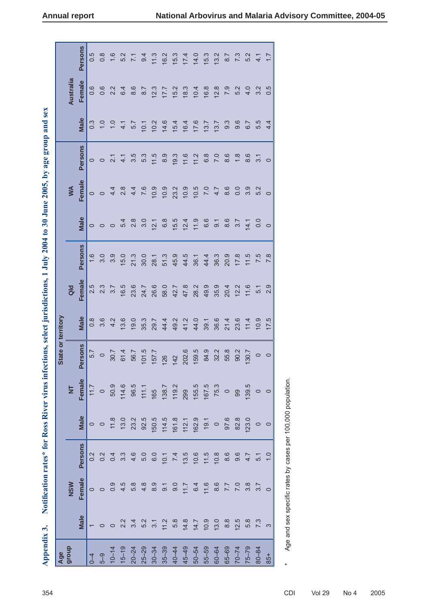| Age<br>group                                                               |                                                                                                                                                                                                                                                                                                                                                                                                                                                                                              |                    |                         |             |              | State or territory |                  |        |              |                                         |                                                                      |                |               |           |                   |
|----------------------------------------------------------------------------|----------------------------------------------------------------------------------------------------------------------------------------------------------------------------------------------------------------------------------------------------------------------------------------------------------------------------------------------------------------------------------------------------------------------------------------------------------------------------------------------|--------------------|-------------------------|-------------|--------------|--------------------|------------------|--------|--------------|-----------------------------------------|----------------------------------------------------------------------|----------------|---------------|-----------|-------------------|
|                                                                            |                                                                                                                                                                                                                                                                                                                                                                                                                                                                                              | NSW                |                         |             | NT<br>Female |                    |                  | Qld    |              |                                         | WA                                                                   |                |               | Australia |                   |
|                                                                            | Male                                                                                                                                                                                                                                                                                                                                                                                                                                                                                         | Female             | Persons                 | <b>Male</b> |              | ersons             | <b>Male</b>      | Female | Persons      | <b>Male</b>                             | Female                                                               | <b>Persons</b> | <b>Male</b>   | Female    | <b>Persons</b>    |
|                                                                            |                                                                                                                                                                                                                                                                                                                                                                                                                                                                                              |                    |                         |             |              | 5.7                | $0.\overline{8}$ | 2.5    | 1.6          | $\circ$                                 | $\circ$                                                              | $\circ$        | 0.3           | 0.6       | 0.5               |
| $10-14$<br>$10-14$                                                         |                                                                                                                                                                                                                                                                                                                                                                                                                                                                                              |                    |                         |             |              | $\circ$            | 3.6              | 2.3    | 3.0          |                                         | $\circ$                                                              | $\circ$        | 1.0           | 0.6       | $0.\overline{8}$  |
|                                                                            |                                                                                                                                                                                                                                                                                                                                                                                                                                                                                              |                    |                         |             |              | 30.7               | 4.2              | 3.7    | 3.9          | $\circ$                                 | $4 \frac{2}{8}$                                                      | $21$<br>$4$    | $\frac{1}{2}$ | 2.2       | 1.6               |
|                                                                            |                                                                                                                                                                                                                                                                                                                                                                                                                                                                                              |                    |                         |             |              | 61.4               | 13.6             | 16.5   | 15.0         | 5.4                                     |                                                                      |                | 4.1           | 6.4       | 5.2               |
|                                                                            |                                                                                                                                                                                                                                                                                                                                                                                                                                                                                              |                    |                         |             |              | 56.7               | 19.0             | 23.6   | 21.3<br>30.0 | $\begin{array}{c} 8 \\ 2.0 \end{array}$ |                                                                      | 3.5            | 5.7           | 8.6       | $\overline{7.1}$  |
|                                                                            |                                                                                                                                                                                                                                                                                                                                                                                                                                                                                              |                    |                         |             |              | 101.5              | 35.3             | 24.7   |              |                                         | $\begin{array}{ccc} 4 & 7 & 0 \\ 7 & 6 & 0 \\ 4 & 6 & 0 \end{array}$ | 5.3            | 10.1          | 8.7       | 9.4               |
| $15-19$ $20-24$ $25-29$ $25-39$ $35-39$ $45-49$                            |                                                                                                                                                                                                                                                                                                                                                                                                                                                                                              |                    |                         |             |              | 157.7              | 29.7             | 26.6   | 28.1         | 12.1                                    |                                                                      | 11.5           | 10.2          | 12.3      | 11.3              |
|                                                                            |                                                                                                                                                                                                                                                                                                                                                                                                                                                                                              |                    |                         |             |              | 126                | 44.4             | 58.0   | 51.3         | 6.8                                     | 10.9                                                                 | 8.9            | 14.6          | 17.7      | 16.2              |
|                                                                            |                                                                                                                                                                                                                                                                                                                                                                                                                                                                                              |                    |                         |             |              | 142                | 49.2             | 42.7   | 45.9         | 15.5                                    | 23.2                                                                 | 19.3           | 15.4          | 15.2      | 15.3              |
|                                                                            |                                                                                                                                                                                                                                                                                                                                                                                                                                                                                              |                    |                         |             |              | 202.6              | 41.2             | 47.8   | 44.5         | 12.4                                    | 10.9                                                                 | 11.6           | 16.4          | 18.3      |                   |
| 50-54<br>55-59                                                             | $\begin{array}{l} \tau\;\; \circ \;\; \circ \;\; \gamma\;\; \dot\alpha\;\; \dot\alpha\;\; \dot\alpha\;\; \dot\alpha\;\; \dot\alpha\;\; \dot\alpha\;\; \dot\alpha\;\; \dot\alpha\;\; \dot\alpha\;\; \dot\alpha\;\; \dot\alpha\;\; \dot\alpha\;\; \dot\alpha\;\; \dot\alpha\;\; \dot\alpha\;\; \dot\alpha\;\; \dot\alpha\;\; \dot\alpha\;\; \dot\alpha\;\; \dot\alpha\;\; \dot\alpha\;\; \dot\alpha\;\; \dot\alpha\;\; \dot\alpha\;\; \dot\alpha\;\; \dot\alpha\;\; \dot\alpha\;\; \dot\alpha$ |                    |                         |             |              | 159.5              | 44.0             | 28.2   | 36.1         | 11.9                                    | 10.5                                                                 | 11.2           | 17.6          | 10.4      | $17.4$<br>14.0    |
|                                                                            |                                                                                                                                                                                                                                                                                                                                                                                                                                                                                              |                    |                         |             |              | 84.9               | 39.1             | 49.9   | 44.4         | 6.6                                     | $7.0$<br>4.7                                                         | 6.8            | 13.7          | 16.8      | $15.3$<br>$13.2$  |
| $60 - 64$<br>$65 - 69$<br>$76 - 74$<br>$76 - 79$<br>$76 - 79$<br>$76 - 84$ |                                                                                                                                                                                                                                                                                                                                                                                                                                                                                              |                    |                         |             |              | 32.2               | 36.6             | 35.9   | 36.3         | 9.1                                     |                                                                      | 7.0            | 13.7          | 12.8      |                   |
|                                                                            |                                                                                                                                                                                                                                                                                                                                                                                                                                                                                              |                    |                         |             |              | 55.8               | 21.4             | 20.4   | 20.9         | 8.6                                     | 8.6                                                                  | 8.6            | 9.3           | 7.9       | 8.7               |
|                                                                            | 12.5                                                                                                                                                                                                                                                                                                                                                                                                                                                                                         |                    |                         |             |              | 90.2               | 23.6             | 12.2   | 17.8         | 3.7                                     | 0.0                                                                  | $1.8$          | 9.6           | 5.2       | $\overline{7}$ .3 |
|                                                                            | 5.8                                                                                                                                                                                                                                                                                                                                                                                                                                                                                          | $7.087$<br>5.0 8.7 | $4.\overline{7}$<br>5.1 |             |              | 130.7              | 11.4             | 11.6   | 11.5         | 14.1                                    | 3.9                                                                  | 8.6            | 6.7           | 4.0       | 5.2               |
|                                                                            | $\overline{7}$ .3                                                                                                                                                                                                                                                                                                                                                                                                                                                                            |                    |                         |             | 139.5        | $\circ$            | 10.9             | 5.1    | 7.5          |                                         | 5.2                                                                  | 3.1            | 5.5           | 3.2       | $\overline{4.1}$  |
| 85+                                                                        |                                                                                                                                                                                                                                                                                                                                                                                                                                                                                              |                    | $\frac{1}{2}$           | $\circ$     |              | $\circ$            | 17.5             | 2.9    | 7.8          | $\circ$                                 | $\circ$                                                              | $\circ$        | 4.4           | 0.5       | $\overline{1.7}$  |
|                                                                            |                                                                                                                                                                                                                                                                                                                                                                                                                                                                                              |                    |                         |             |              |                    |                  |        |              |                                         |                                                                      |                |               |           |                   |

Age and sex specific rates by cases per 100,000 population. \* Age and sex specifi c rates by cases per 100,000 population.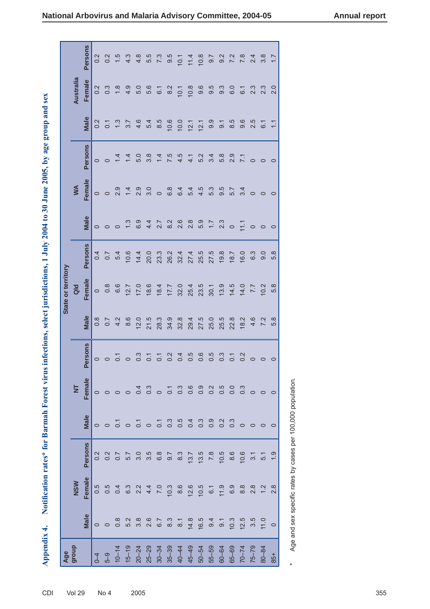|                    |                | Persons        | 0.2     | 0.2              | 1.5                         | 4.3             | 4.8               | 5.5         |                  | $7.3$<br>9.5   | 10.1 | 11.4             | 10.8                 | $\overline{9.7}$ | 9.2           |                  | $7 \times 24$<br>$7 \times 24$ |                                                                        | ္တိ     | $\overline{1.7}$ |
|--------------------|----------------|----------------|---------|------------------|-----------------------------|-----------------|-------------------|-------------|------------------|----------------|------|------------------|----------------------|------------------|---------------|------------------|--------------------------------|------------------------------------------------------------------------|---------|------------------|
|                    | Australia      | Female         | 0.2     | $0.\overline{3}$ | $\frac{1}{6}$ $\frac{1}{2}$ |                 | 5.0               | 5.6         | $6.1$            | $\frac{2}{8}$  | 10.1 | 10.8             | 9.6                  | 9.5              | 9.3           | 6.0              |                                | $\begin{array}{ccc}\n6 & 1 & 3 \\ 0 & 0 & 0 \\ 1 & 0 & 0\n\end{array}$ |         | 2.0              |
|                    |                | <b>Male</b>    | 0.2     |                  | $0.1$<br>$1.3$<br>$3.7$     |                 | 4.6               | 5.4         | $8.\overline{5}$ | 10.6           |      | $10.0$<br>$12.1$ | $12.1$<br>9.9        |                  | 9.1           | $8.\overline{5}$ | 0.5<br>0.5                     |                                                                        | 6.1     | $\overline{1}$   |
|                    |                | Persons        |         |                  | $\overline{1}$              | $1\overline{4}$ | 5.0               | 3.8         | $\overline{14}$  | 7.5            | 4.5  | 4.1              | 5.2                  | 3.4              | 5.8           | 2.9              | $\overline{7.1}$               |                                                                        |         |                  |
|                    | WA             | Female         | $\circ$ |                  | 2.9                         | $\frac{1}{4}$   | 2.9               | 3.0         | $\circ$          | 6.8            | 6.4  | 5.4              | 4.5                  | 5.3              | 9.5           | 5.7              | 3.4                            |                                                                        |         |                  |
|                    |                | Male           | $\circ$ |                  |                             | $\frac{3}{2}$   | 6.9               |             | $4728$<br>$472$  |                | 2.6  | 2.8              | 5.9                  |                  | $7.7$<br>2.3  | $\circ$          | 11.7                           |                                                                        |         | $\circ$          |
|                    |                | Persons        | 0.4     | 0.7              | 5.4                         | 10.6            | 14.4              | 20.0        | 23.3             | 26.2           | 32.4 | 27.4             | 25.5                 | 27.5             | 19.8          | 18.7             | 16.0                           | 6.3                                                                    | 0.6     | 5.8              |
| State or territory | $\overline{a}$ | Female         | $\circ$ | 0.8              | 6.6                         | 12.7            | 17.0              | 18.6        |                  | $18.4$<br>17.7 | 32.0 |                  | 25.4<br>23.5<br>30.1 |                  | 13.9          | 14.5             | 7.7                            |                                                                        | 10.2    | 5.8              |
|                    |                | Male           | 0.8     | 0.7              | 4.2                         | 8.6             | 12.0              | 21.5        | 28.3             | 34.9           | 32.8 | 29.4             | 27.5                 | 25.0             | 25.5          | 22.8             | 18.2                           | 4.6                                                                    | 7.2     | 5.8              |
|                    |                | <b>Persons</b> | $\circ$ |                  | $\overline{c}$              |                 | $\overline{0}$ .3 | $0.7$ $0.2$ |                  |                | 0.4  | 0.5              | 0.6                  | 0.5              | $\frac{3}{2}$ | $\overline{0}$ . | $\overline{0}$ .               | $\circ$                                                                | $\circ$ | $\circ$          |
|                    | NT<br>Female   |                |         |                  |                             |                 |                   |             |                  |                |      |                  |                      |                  |               |                  |                                |                                                                        |         |                  |
|                    |                | Male           |         |                  |                             |                 |                   |             |                  |                |      |                  |                      |                  |               |                  |                                |                                                                        |         |                  |
|                    |                | Persons        |         |                  |                             |                 |                   |             |                  |                |      |                  |                      |                  |               |                  |                                |                                                                        |         |                  |
|                    | NSW            | Female         |         |                  |                             |                 |                   |             |                  |                |      |                  |                      |                  |               |                  |                                |                                                                        | 7.8     |                  |
|                    |                | Male           |         |                  |                             |                 |                   |             |                  |                |      |                  |                      |                  |               |                  |                                |                                                                        |         |                  |
|                    |                |                |         |                  |                             |                 |                   |             |                  |                |      |                  |                      |                  |               |                  |                                |                                                                        |         |                  |

Age and sex specific rates by cases per 100,000 population. \* Age and sex specifi c rates by cases per 100,000 population.

 $\ast$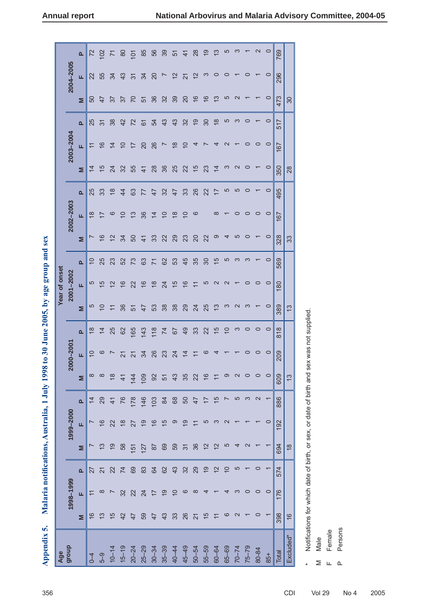# **Annual report National Arborithmen**

| National Arbovirus and Malaria Advisory Committee, 2004-05 |  |  |
|------------------------------------------------------------|--|--|

|               |                                        | $\mathbf{a}$ | 72                       | $\infty$       |                | 8              | 101            | 85              | 56             | 39             | 51                        | $\frac{4}{1}$            | 28                       | <u>၃</u>             | <u>ო</u>       | LO             |           |           |         | 0       | 769   |               |
|---------------|----------------------------------------|--------------|--------------------------|----------------|----------------|----------------|----------------|-----------------|----------------|----------------|---------------------------|--------------------------|--------------------------|----------------------|----------------|----------------|-----------|-----------|---------|---------|-------|---------------|
|               | 2004-2005                              | щ            | 22                       | 55             | 34             | 43             | $\overline{3}$ | 34              | 20             |                | $\overline{2}$            | 21                       | 12                       | က                    |                |                |           |           |         | 0       | 296   |               |
|               |                                        | Σ            | 50                       | 47             | 76             | 57             | $\overline{C}$ | 51              | 36             | 32             | 39                        | $\overline{20}$          | $\frac{6}{5}$            | $\boldsymbol{\circ}$ | ຕ              | LQ             |           |           |         | 0       | 473   | 30            |
|               |                                        | <b>Q</b>     | 25                       | $\overline{3}$ | 38             | $\overline{4}$ | 22             | 61              | 54             | 43             | 43                        | 32                       | <u>ღ</u>                 | $\overline{30}$      | $\frac{8}{2}$  | ഥ              |           |           |         | 0       | 517   |               |
|               | 2003-2004                              | щ            | ニ                        | $\frac{6}{2}$  | $\overline{4}$ | $\Xi$          | $\bar{=}$      | $\overline{20}$ | 26             |                | $\frac{8}{1}$             | $\overline{\phantom{0}}$ |                          |                      |                |                |           |           | 0       | $\circ$ | 167   |               |
|               |                                        | Σ            | $\overline{4}$           | $\frac{5}{3}$  | 24             | 32             | 55             | $\frac{4}{1}$   | 28             | 36             | 25                        | 22                       | $\frac{5}{3}$            | 23                   | $\overline{4}$ |                |           |           |         | 0       | 350   | 28            |
|               |                                        | $\mathbf{a}$ | 25                       | 33             | $\frac{8}{1}$  | $\overline{4}$ | 63             | 77              | 47             | 32             | 47                        | 33                       | 26                       | 22                   |                | 5              | 5         |           |         | 0       | 495   |               |
|               | 2002-2003                              | Щ            | $\frac{8}{16}$           | ⊵              | ဖ              | 으              | $\frac{3}{2}$  | 36              | $\overline{4}$ | $\overline{0}$ | $\frac{8}{16}$            | $\overline{C}$           | ဖ                        |                      | ∞              |                |           |           | 0       | $\circ$ | 167   |               |
|               |                                        | Σ            | $\overline{\phantom{0}}$ | $\frac{6}{5}$  | $\frac{2}{3}$  | 34             | 50             | $\frac{4}{1}$   | 33             | 22             | 29                        | 23                       | $\Omega$                 | 22                   | တ              |                | r         |           |         | 0       | 328   | 33            |
|               |                                        | $\mathbf{a}$ | $\overline{C}$           | 25             | 23             | 52             | 73             | 63              | $\overline{7}$ | 62             | 53                        | 45                       | 35                       | 30                   | 15             | 5              | ო         |           |         | 0       | 569   |               |
| Year of onset | 2001-2002                              | щ            | 5                        | 5              | $\tilde{c}$    | $\frac{6}{2}$  | 22             | $\frac{6}{2}$   | $\frac{8}{1}$  | 24             | $\frac{5}{1}$             | $\frac{6}{5}$            | ≓                        | ပ                    | $\sim$         |                |           |           |         | 0       | 180   |               |
|               |                                        | Σ            | 5                        | $\overline{0}$ | 두              | 36             | 51             | $\frac{4}{7}$   | 53             | 38             | 38                        | 29                       | 24                       | 25                   | <u>ო</u>       |                |           |           |         | 0       | 389   | $\frac{3}{2}$ |
|               |                                        |              |                          |                |                |                |                |                 |                |                |                           |                          |                          |                      |                |                | ო         |           |         | 0       |       |               |
|               |                                        | $\mathbf{a}$ | $\frac{8}{1}$            | $\overline{4}$ | 25             | 62             | 165            | 143             | 118            | 74             | 79                        | $\overline{9}$           | 33                       | 22                   | 15             | $\overline{0}$ |           |           |         |         | 818   |               |
|               | $00 - 2001$<br>$\overline{\mathbf{S}}$ | щ            | $\overline{0}$           | ဖ              |                | $\overline{2}$ | $\overline{2}$ | 34              | 26             | 23             | 24                        | $\overline{4}$           | $\overline{\mathcal{L}}$ | ဖ                    |                |                |           |           |         |         | 209   |               |
|               |                                        | Σ            | $\infty$                 | $\infty$       | $\frac{8}{3}$  | $\frac{4}{1}$  | 144            | 109             | 92             | 51             | 43                        | 35                       | 22                       | $\frac{6}{2}$        |                | တ              |           |           |         | $\circ$ | 609   | $\frac{3}{2}$ |
|               |                                        | $\mathbf{a}$ | $\overline{4}$           | 29             | $\frac{4}{1}$  | 76             | 178            | 146             | 103            | 84             | 68                        | 50                       | 47                       | 7T                   | 15             |                | 5         | က         | 2       |         | 886   |               |
|               | 1999-2000                              | u.           |                          | $\frac{6}{2}$  | 22             | $\frac{8}{1}$  | 27             | 9               | $\frac{6}{5}$  | 15             | တ                         | $\overline{9}$           |                          | ယ                    | ო              |                |           |           |         | 0       | 192   |               |
|               |                                        | Σ            |                          | $\frac{3}{2}$  | $\overline{6}$ | 58             | 151            | 127             | 87             | 69             | 59                        | $\overline{3}$           | 36                       | $\frac{2}{3}$        | $\overline{2}$ | 5              |           |           |         |         | 694   | $\frac{8}{3}$ |
|               |                                        | $\mathbf{a}$ | 27                       | $\overline{z}$ | 22             | 74             | 69             | 83              | 64             | 62             | 43                        | 32                       | 29                       | $\overline{9}$       | 12             | $\overline{0}$ | 5         |           | $\circ$ |         | 574   |               |
|               | 1998-1999                              | щ            | $\overline{\phantom{0}}$ | $\infty$       |                | 32             | 22             | 24              | $\overline{1}$ | $\frac{1}{2}$  | $\widetilde{\phantom{a}}$ | ဖ                        | ∞                        |                      |                |                |           |           | 0       | $\circ$ | 176   |               |
|               |                                        | Σ            | $\frac{6}{1}$            | $\frac{3}{2}$  | $\frac{5}{1}$  | 42             | 47             | 59              | 47             | 43             | 33                        | 26                       | $\overline{21}$          | 15                   |                | ဖ              |           |           |         |         | 398   | $\frac{6}{5}$ |
| Age<br>group  |                                        |              | $0 - 4$                  | $5-9$          | $10 - 14$      | $15 - 19$      | $20 - 24$      | $25 - 29$       | $30 - 34$      | $35 - 39$      | $40 - 44$                 | $45 - 49$                | $50 - 54$                | $55 - 59$            | $60 - 64$      | $65 - 69$      | $70 - 74$ | $75 - 79$ | 80-84   | 85+     | Total | Excluded*     |

Malaria notifications, Australia, 1 July 1998 to 30 June 2005, by age group and sex **fi cations, Australia, 1 July 1998 to 30 June 2005, by age group and sex Appendix 5. Malaria noti** Appendix 5.

Notifications for which date of birth, or sex, or date of birth and sex was not supplied. \* Notifi cations for which date of birth, or sex, or date of birth and sex was not supplied.

Female Female Male M Male

 $\geq$ 

Persons P Persons

 $\begin{array}{cc} \mathbf{L} & \mathbf{L} \end{array}$